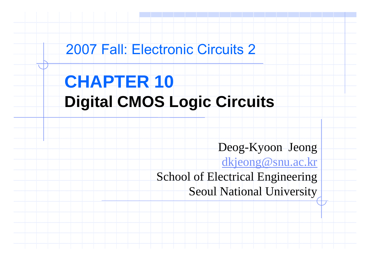## 2007 Fall: Electronic Circuits 2

# **CHAPTER 10 Digital CMOS Logic Circuits**

Deog-Kyoon Jeong

<u>dkjeong@snu.ac.kr</u>

School of Electrical Engineering Seoul National University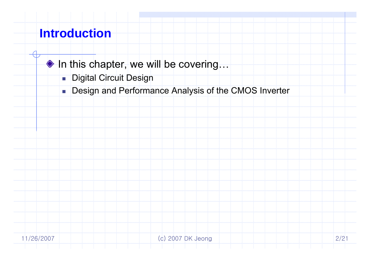### **Introduction**

- ◆ In this chapter, we will be covering...
	- Digital Circuit Design
	- **Design and Performance Analysis of the CMOS Inverter**

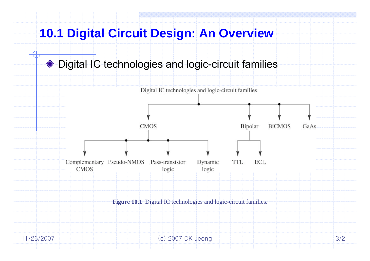### ◆ Digital IC technologies and logic-circuit families

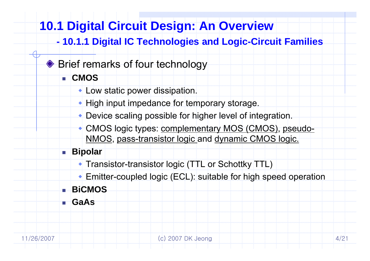#### **-**- 10.1.1 Digital IC Technologies and Logic-Circuit Families

### ♦ Brief remarks of four technology

- **CMOS**
	- Low static power dissipation.
	- $\bullet$  High input impedance for temporary storage.
	- Device scaling possible for higher level of integration.
	- CMOS logic types: complementary MOS (CMOS), pseudo - NMOS, pass-transistor logic and dynamic CMOS logic.

### **Bipolar**

- Transistor-transistor logic (TTL or Schottky TTL)
- Emitter-coupled logic (ECL): suitable for high speed operation

## **BiCMOS**

**GaAs**

Г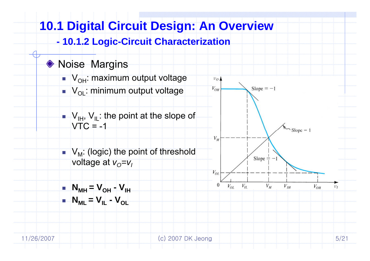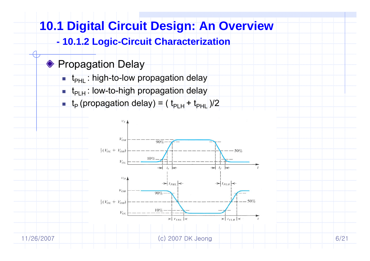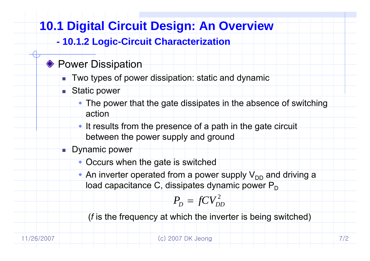#### **-10 1 2 Logic 10.1.2 -Circuit Characterization Circuit**

### **◆ Power Dissipation**

- П Two types of power dissipation: static and dynamic
- Static power

Г

- $\bullet$  The power that the gate dissipates in the absence of switching action
- $\bullet$  It results from the presence of a path in the gate circuit between the power supply and ground

### **Dynamic power**

- $\bullet$  Occurs when the gate is switched
- An inverter operated from a power supply  $V_{DD}$  and driving a load capacitance C, dissipates dynamic power  $\mathsf{P}^{\scriptscriptstyle\perp}_\mathsf{D}$

$$
P_D = fCV_{DD}^2
$$

( *f* is the frequency at which the inverter is being switched)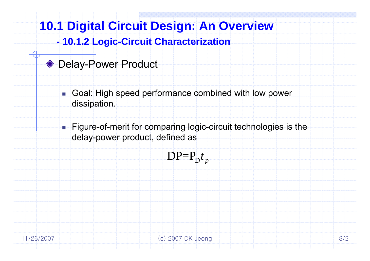#### **-10 1 2 Logic 10.1.2 -Circuit Characterization Circuit**

### ◆ Delay-Power Product

 $\mathbf{r}$  Goal: High speed performance combined with low power dissipation.

■ Figure-of-merit for comparing logic-circuit technologies is the delay-power product, defined as

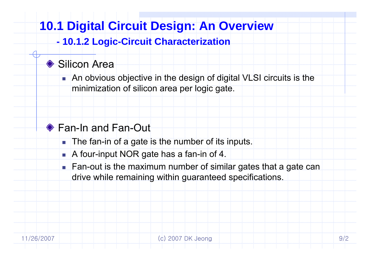#### **-10 1 2 Logic 10.1.2 -Circuit Characterization Circuit**

### Silicon Area

 An obvious objective in the design of digital VLSI circuits is the minimization of silicon area per logic gate.

## Fan-In and Fan-Out

- **The fan-in of a gate is the number of its inputs.**
- A four-input NOR gate has a fan-in of 4.

■ Fan-out is the maximum number of similar gates that a gate can drive while remaining within guaranteed specifications.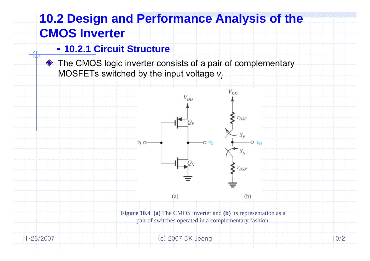### **- 10.2.1 Circuit Structure**

◆ The CMOS logic inverter consists of a pair of complementary MOSFETs switched by the input voltage  $\bm{\mathsf{v}}_l$ 

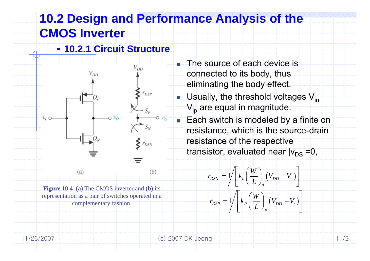■ The source of each device is

connected to its body, thus

eliminating the body effect.

 $V_{\text{ip}}$  are equal in magnitude.

resistance of the respective

 $\blacksquare$  Usually, the threshold voltages  $\mathsf{V}_{\mathsf{in}}$ 

■ Each switch is modeled by a finite on

transistor, evaluated near  $|v_{\text{DS}}|=0$ ,

 $r_{DSN} = 1/ \left| k_n \right| \left| \frac{W}{I} \right| \left| (V_{DD} - V_t) \right|$ 

 $|r_{\text{DSP}} = 1/ \mid k_{\text{P}} \mid \frac{W}{I} \mid (V_{\text{DD}} - V_{\text{r}})$ 

 $r_{\scriptscriptstyle DSP} = 1 \nvert / \nvert k_{\scriptscriptstyle P} \left( \frac{W}{L} \right) \nvert (V_{\scriptscriptstyle D D} - V_{\scriptscriptstyle D})$ 

 $r_{DSN} = 1/ \left\langle k_n \left( \frac{W}{L} \right) \right\rangle (V_{DD} - V_{\nu})$ 

*n*

 $=\sqrt{1-\left(k_{P}\left(\frac{W}{L}\right)_{p}\left(V_{DD}-V_{t}\right)\right)^{2}}$ 

*p*

 $=\frac{1}{\sqrt{\frac{k_n}{L}}}\left(\frac{V_{DD}-V_t}{V_{DD}-V_t}\right)$ 

 $\begin{bmatrix} \cdot & W \end{bmatrix}$ 

resistance, which is the source-drain

**- 10.2.1 Circuit Structure**

 $V_{DD}$ 

 $r_{DSP}$ 



 $(b)$  $(a)$ **Figure 10.4** (a) The CMOS inverter and **(b)** its  $\begin{bmatrix} B_{3N} \\ A_{11} \end{bmatrix}$   $\begin{bmatrix} n \\ L \end{bmatrix}$   $\begin{bmatrix} 1 & bD & 1 \end{bmatrix}$ representation as a pair of switches operated in a

complementary fashion.

11/26/2007 (c) 2007 DK Jeong 11/2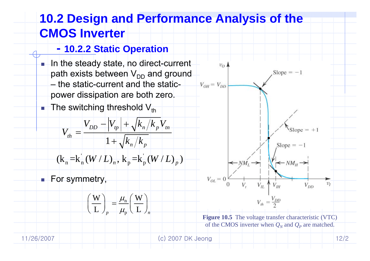### **- 10.2.2 Static Operation**

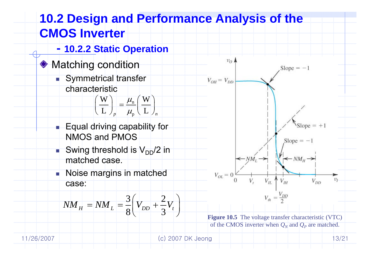

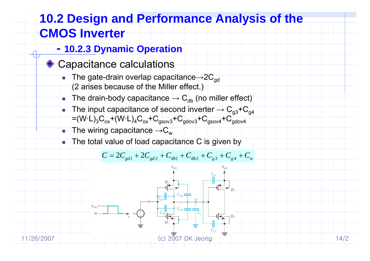- **- 10.2.3 Dynamic Operation**
- **♦ Capacitance calculations** 
	- F.  $\blacksquare$  The gate-drain overlap capacitance $\rightarrow$ 2 $\mathsf{C}_{\mathsf{gd}}$ (2 arises because of the Miller effect.)
	- F. ■ The drain-body capacitance  $\rightarrow$  C<sub>db</sub> (no miller effect)
	- F.  $\blacksquare$  The input capacitance of second inverter  $\rightarrow$   $\text{C}_{\text{g}3}$ + $\text{C}_{\text{g}4}$  $=(\mathsf{W}\mathord{\cdot}\mathsf{L})_3 \mathsf{C}_{\mathsf{ox}}$ + $(\mathsf{W}\mathord{\cdot}\mathsf{L})_4 \mathsf{C}_{\mathsf{ox}}$ + $\mathsf{C}_{\mathsf{gsov3}}$ + $\mathsf{C}_{\mathsf{gdov4}}$ + $\mathsf{C}_{\mathsf{gsov4}}$ + $\mathsf{C}_{\mathsf{gdov4}}$
	- F ■ The wiring capacitance  $\rightarrow$  C<sub>w</sub>
	- F The total value of load capacitance C is given by

$$
C = 2C_{gd1} + 2C_{gd2} + C_{db1} + C_{db2} + C_{g3} + C_{g4} + C_w
$$



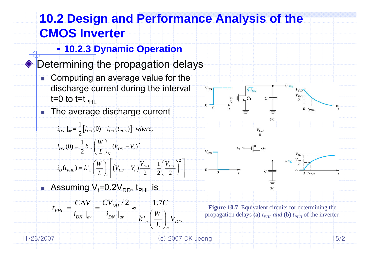#### **10.2 Design and Performance Analysis of the CMOS Inverter - 10.2.3 Dynamic Operation** ◆ Determining the propagation delays **Computing an average value for the** discharge current during the interval  $\begin{array}{ccc}\n & & & & & \overrightarrow{v_{\text{D}}} \\
& & & & & \overrightarrow{v_{\text{D}}} \\
& & & & & \overrightarrow{v_{\text{D}}} \\
& & & & & \overrightarrow{v_{\text{D}}} \\
& & & & & \overrightarrow{v_{\text{D}}} \\
& & & & & \overrightarrow{v_{\text{D}}} \\
& & & & & \overrightarrow{v_{\text{D}}} \\
& & & & & \overrightarrow{v_{\text{D}}} \\
& & & & & \overrightarrow{v_{\text{D}}} \\
& & & & & \overrightarrow{v_{\text{D}}} \\
& & & & & \overrightarrow{v_{\text{D}}} \\
& & & & & \overrightarrow{v_{\text{D}}} \\
& & & & & \over$ t=0 to t=t<sub>PHL</sub> The average discharge current  $\mathcal{L}_{\mathcal{A}}$  $i_{\textit{DN}}\mid_{\textit{av}} = \frac{1}{2}\bigl[i_{\textit{DN}}(0) + i_{\textit{DN}}(t_{\textit{PHL}})\bigr]$  where,  $=\frac{1}{2}k\int_{R}^{R}\left(\frac{W}{L}\right)_{N}\left(V_{DD}\right)$  $1_L$   $(W)$   $\alpha$   $V^2$ *W* $V_{DD}$ <br>0  $i_{DN}(0) = \frac{1}{2}k'_{n} \left( \frac{V}{L} \right)_{N} (V_{DD} - V_{N})$  $_{DN}(0) = \frac{1}{2}k'_{n}\left(\frac{N}{L}\right)_{N}(V_{DD}-V_{t})$  $V = 1(V)^2$  $\mathcal{W}_D(t_{PHL}) = k \frac{V_n}{L} \left( \frac{W}{L} \right)_n \left( V_{DD} - V_t \right) \frac{V_{DD}}{2} - \frac{1}{2} \left( \frac{V_{DD}}{2} \right)^2$  $(V_{DD} - V_t) \frac{V_{DD}}{2} - \frac{1}{2}$  $D_{D}(t_{PHL}) = k \frac{V}{n} \left( \frac{W}{L} \right)_{n} \left( V_{DD} - V_{t} \right) \frac{V_{DD}}{2} - \frac{1}{2} \left( \frac{V_{DD}}{2} \right)$ ■ Assuming V<sub>t</sub>=0.2V<sub>DD</sub>, t<sub>PHL</sub> is  $C\Delta V$   $CV_{\text{op}}/2$  1.7 $C$  $/2$  1.7  $=\frac{C\Delta V}{i_{D\!N}}\frac{eV_{DD}/2}{\left|i_{D\!N}\right|_{av}}\approx\frac{1.7C}{k_{n}^{'}\left(\frac{W}{L}\right)_{n}V_{DD}}$  $P_{PHL} = \frac{C \Delta V}{i_{DN} \vert_{av}} = \frac{C V_{DD} V}{i_{DN} \vert_{av}}$ **Figure 10.7** Equivalent circuits for determining the  $t_{PHL} = \frac{1}{i_{\text{DM}}} = \frac{1}{i_{\text{DM}}} \approx \frac{1}{i_{\text{DM}}}$  $\frac{1}{a_v}$   $\left| \frac{l_{\text{DN}}}{l_{\text{NN}}} \right|_{av}$   $\left| \frac{l_{\text{NN}}}{l_{\text{NN}}} \right|$ propagation delays (a)  $t_{PHL}$  *and* (b)  $t_{PLH}$  of the inverter.  $k'$ ,  $|\cdot - | V$ *n*11/26/2007 (c) 2007 DK Jeong 15/21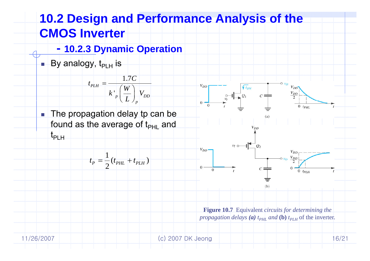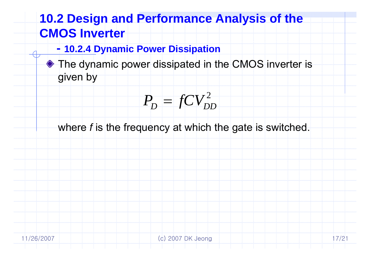- **- 10.2.4 Dynamic Power Dissipation**
- ◆ The dynamic power dissipated in the CMOS inverter is given by

$$
P^{}_{\!D} = fCV^2_{DD}
$$

where *f* is the frequency at which the gate is switched.

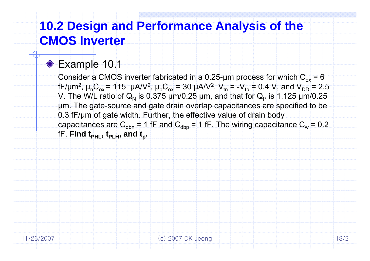### ◆ Example 10.1

Consider a CMOS inverter fabricated in a 0.25-µm process for which  $\rm C_{ox}$  = 6 fF/μm<sup>2</sup>, μ<sub>n</sub>C<sub>ox</sub> = 115 μA/V<sup>2</sup>, μ<sub>p</sub>C<sub>ox</sub> = 30 μA/V<sup>2</sup>, V<sub>tn</sub> = -V<sub>tp</sub> = 0.4 V, and V<sub>DD</sub> = 2.5 V. The W/L ratio of Q<sub>N</sub> is 0.375 µm/0.25 µm, and that for Q<sub>P</sub> is 1.125 µm/0.25 μm. The gate-source and gate drain overlap capacitances are specified to be 0.3 fF/ μm of gate width. Further, the effective value of drain body capacitances are  $\rm C_{dbn}$  = 1 fF and  $\rm C_{dbp}$  = 1 fF. The wiring capacitance  $\rm C_{w}$  = 0.2  $\,$ fF. Find t<sub>PHL</sub>, t<sub>PLH</sub>, and t<sub>p</sub>.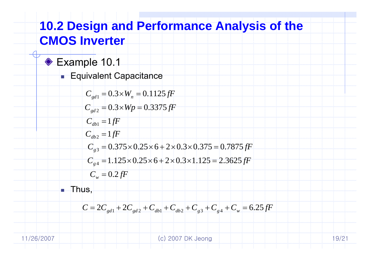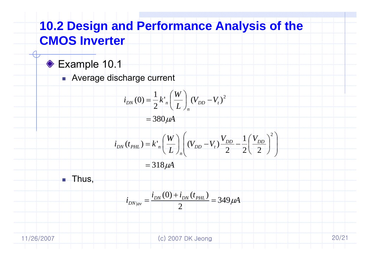